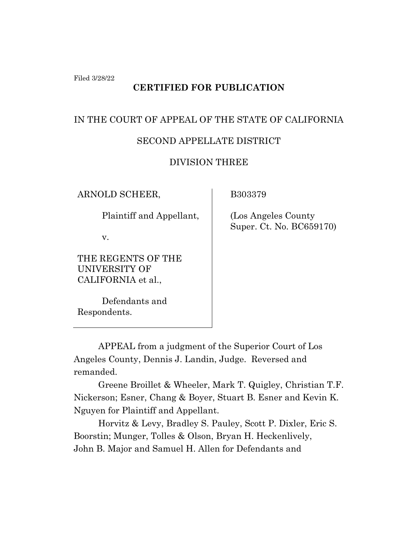Filed 3/28/22

## **CERTIFIED FOR PUBLICATION**

# IN THE COURT OF APPEAL OF THE STATE OF CALIFORNIA

### SECOND APPELLATE DISTRICT

### DIVISION THREE

ARNOLD SCHEER,

Plaintiff and Appellant,

v.

THE REGENTS OF THE UNIVERSITY OF CALIFORNIA et al.,

Defendants and Respondents.

B303379

 (Los Angeles County Super. Ct. No. BC659170)

APPEAL from a judgment of the Superior Court of Los Angeles County, Dennis J. Landin, Judge. Reversed and remanded.

Greene Broillet & Wheeler, Mark T. Quigley, Christian T.F. Nickerson; Esner, Chang & Boyer, Stuart B. Esner and Kevin K. Nguyen for Plaintiff and Appellant.

Horvitz & Levy, Bradley S. Pauley, Scott P. Dixler, Eric S. Boorstin; Munger, Tolles & Olson, Bryan H. Heckenlively, John B. Major and Samuel H. Allen for Defendants and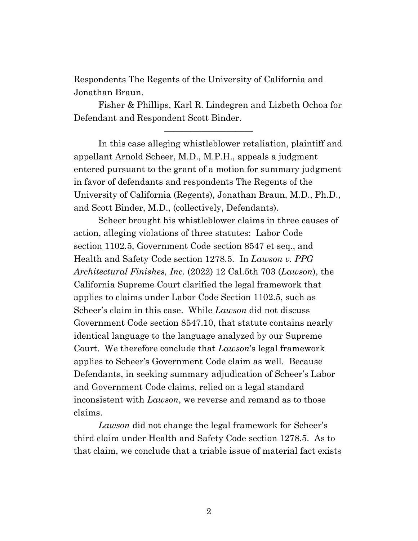Respondents The Regents of the University of California and Jonathan Braun.

Fisher & Phillips, Karl R. Lindegren and Lizbeth Ochoa for Defendant and Respondent Scott Binder.

——————————

In this case alleging whistleblower retaliation, plaintiff and appellant Arnold Scheer, M.D., M.P.H., appeals a judgment entered pursuant to the grant of a motion for summary judgment in favor of defendants and respondents The Regents of the University of California (Regents), Jonathan Braun, M.D., Ph.D., and Scott Binder, M.D., (collectively, Defendants).

Scheer brought his whistleblower claims in three causes of action, alleging violations of three statutes: Labor Code section 1102.5, Government Code section 8547 et seq., and Health and Safety Code section 1278.5. In *Lawson v. PPG Architectural Finishes, Inc*. (2022) 12 Cal.5th 703 (*Lawson*), the California Supreme Court clarified the legal framework that applies to claims under Labor Code Section 1102.5, such as Scheer's claim in this case. While *Lawson* did not discuss Government Code section 8547.10, that statute contains nearly identical language to the language analyzed by our Supreme Court. We therefore conclude that *Lawson*'s legal framework applies to Scheer's Government Code claim as well. Because Defendants, in seeking summary adjudication of Scheer's Labor and Government Code claims, relied on a legal standard inconsistent with *Lawson*, we reverse and remand as to those claims.

*Lawson* did not change the legal framework for Scheer's third claim under Health and Safety Code section 1278.5. As to that claim, we conclude that a triable issue of material fact exists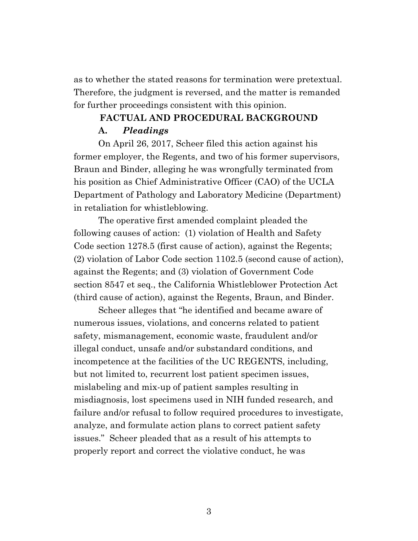as to whether the stated reasons for termination were pretextual. Therefore, the judgment is reversed, and the matter is remanded for further proceedings consistent with this opinion.

### **FACTUAL AND PROCEDURAL BACKGROUND A.** *Pleadings*

On April 26, 2017, Scheer filed this action against his former employer, the Regents, and two of his former supervisors, Braun and Binder, alleging he was wrongfully terminated from his position as Chief Administrative Officer (CAO) of the UCLA Department of Pathology and Laboratory Medicine (Department) in retaliation for whistleblowing.

The operative first amended complaint pleaded the following causes of action: (1) violation of Health and Safety Code section 1278.5 (first cause of action), against the Regents; (2) violation of Labor Code section 1102.5 (second cause of action), against the Regents; and (3) violation of Government Code section 8547 et seq., the California Whistleblower Protection Act (third cause of action), against the Regents, Braun, and Binder.

Scheer alleges that "he identified and became aware of numerous issues, violations, and concerns related to patient safety, mismanagement, economic waste, fraudulent and/or illegal conduct, unsafe and/or substandard conditions, and incompetence at the facilities of the UC REGENTS, including, but not limited to, recurrent lost patient specimen issues, mislabeling and mix-up of patient samples resulting in misdiagnosis, lost specimens used in NIH funded research, and failure and/or refusal to follow required procedures to investigate, analyze, and formulate action plans to correct patient safety issues." Scheer pleaded that as a result of his attempts to properly report and correct the violative conduct, he was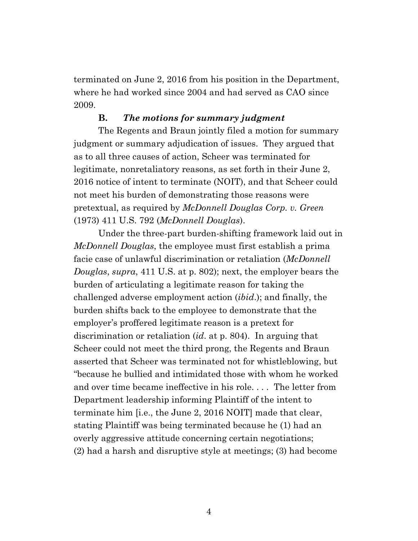terminated on June 2, 2016 from his position in the Department, where he had worked since 2004 and had served as CAO since 2009.

#### **B.** *The motions for summary judgment*

The Regents and Braun jointly filed a motion for summary judgment or summary adjudication of issues. They argued that as to all three causes of action, Scheer was terminated for legitimate, nonretaliatory reasons, as set forth in their June 2, 2016 notice of intent to terminate (NOIT), and that Scheer could not meet his burden of demonstrating those reasons were pretextual, as required by *McDonnell Douglas Corp. v. Green* (1973) 411 U.S. 792 (*McDonnell Douglas*).

Under the three-part burden-shifting framework laid out in *McDonnell Douglas*, the employee must first establish a prima facie case of unlawful discrimination or retaliation (*McDonnell Douglas*, *supra*, 411 U.S. at p. 802); next, the employer bears the burden of articulating a legitimate reason for taking the challenged adverse employment action (*ibid*.); and finally, the burden shifts back to the employee to demonstrate that the employer's proffered legitimate reason is a pretext for discrimination or retaliation (*id*. at p. 804). In arguing that Scheer could not meet the third prong, the Regents and Braun asserted that Scheer was terminated not for whistleblowing, but "because he bullied and intimidated those with whom he worked and over time became ineffective in his role. . . . The letter from Department leadership informing Plaintiff of the intent to terminate him [i.e., the June 2, 2016 NOIT] made that clear, stating Plaintiff was being terminated because he (1) had an overly aggressive attitude concerning certain negotiations; (2) had a harsh and disruptive style at meetings; (3) had become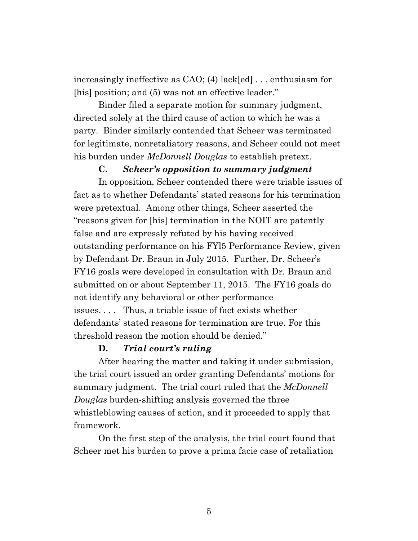increasingly ineffective as CAO; (4) lack[ed] . . . enthusiasm for [his] position; and (5) was not an effective leader."

Binder filed a separate motion for summary judgment, directed solely at the third cause of action to which he was a party. Binder similarly contended that Scheer was terminated for legitimate, nonretaliatory reasons, and Scheer could not meet his burden under *McDonnell Douglas* to establish pretext.

#### **C.** *Scheer's opposition to summary judgment*

In opposition, Scheer contended there were triable issues of fact as to whether Defendants' stated reasons for his termination were pretextual. Among other things, Scheer asserted the "reasons given for [his] termination in the NOIT are patently false and are expressly refuted by his having received outstanding performance on his FYl5 Performance Review, given by Defendant Dr. Braun in July 2015. Further, Dr. Scheer's FY16 goals were developed in consultation with Dr. Braun and submitted on or about September 11, 2015. The FY16 goals do not identify any behavioral or other performance issues. . . . Thus, a triable issue of fact exists whether defendants' stated reasons for termination are true. For this threshold reason the motion should be denied."

#### **D.** *Trial court's ruling*

After hearing the matter and taking it under submission, the trial court issued an order granting Defendants' motions for summary judgment. The trial court ruled that the *McDonnell Douglas* burden-shifting analysis governed the three whistleblowing causes of action, and it proceeded to apply that framework.

On the first step of the analysis, the trial court found that Scheer met his burden to prove a prima facie case of retaliation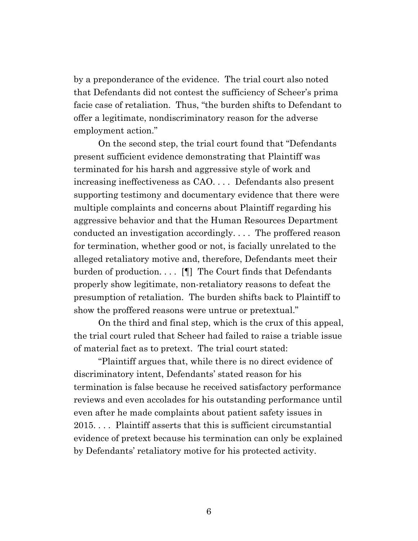by a preponderance of the evidence. The trial court also noted that Defendants did not contest the sufficiency of Scheer's prima facie case of retaliation. Thus, "the burden shifts to Defendant to offer a legitimate, nondiscriminatory reason for the adverse employment action."

On the second step, the trial court found that "Defendants present sufficient evidence demonstrating that Plaintiff was terminated for his harsh and aggressive style of work and increasing ineffectiveness as CAO. . . . Defendants also present supporting testimony and documentary evidence that there were multiple complaints and concerns about Plaintiff regarding his aggressive behavior and that the Human Resources Department conducted an investigation accordingly. . . . The proffered reason for termination, whether good or not, is facially unrelated to the alleged retaliatory motive and, therefore, Defendants meet their burden of production. . . . [¶] The Court finds that Defendants properly show legitimate, non-retaliatory reasons to defeat the presumption of retaliation. The burden shifts back to Plaintiff to show the proffered reasons were untrue or pretextual."

On the third and final step, which is the crux of this appeal, the trial court ruled that Scheer had failed to raise a triable issue of material fact as to pretext. The trial court stated:

"Plaintiff argues that, while there is no direct evidence of discriminatory intent, Defendants' stated reason for his termination is false because he received satisfactory performance reviews and even accolades for his outstanding performance until even after he made complaints about patient safety issues in 2015. . . . Plaintiff asserts that this is sufficient circumstantial evidence of pretext because his termination can only be explained by Defendants' retaliatory motive for his protected activity.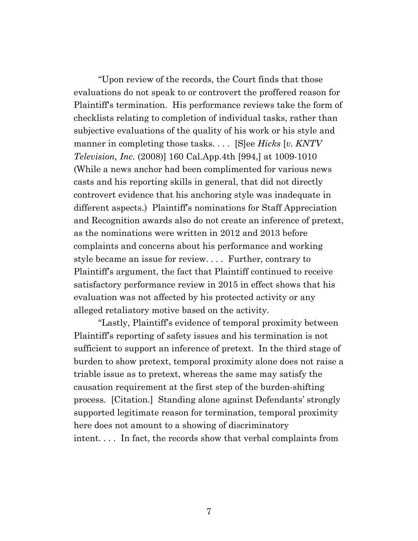"Upon review of the records, the Court finds that those evaluations do not speak to or controvert the proffered reason for Plaintiff's termination. His performance reviews take the form of checklists relating to completion of individual tasks, rather than subjective evaluations of the quality of his work or his style and manner in completing those tasks. . . . [S]ee *Hicks* [*v. KNTV Television, Inc.* (2008)] 160 Cal.App.4th [994,] at 1009-1010 (While a news anchor had been complimented for various news casts and his reporting skills in general, that did not directly controvert evidence that his anchoring style was inadequate in different aspects.) Plaintiff's nominations for Staff Appreciation and Recognition awards also do not create an inference of pretext, as the nominations were written in 2012 and 2013 before complaints and concerns about his performance and working style became an issue for review. . . . Further, contrary to Plaintiff's argument, the fact that Plaintiff continued to receive satisfactory performance review in 2015 in effect shows that his evaluation was not affected by his protected activity or any alleged retaliatory motive based on the activity.

"Lastly, Plaintiff's evidence of temporal proximity between Plaintiff's reporting of safety issues and his termination is not sufficient to support an inference of pretext. In the third stage of burden to show pretext, temporal proximity alone does not raise a triable issue as to pretext, whereas the same may satisfy the causation requirement at the first step of the burden-shifting process. [Citation.] Standing alone against Defendants' strongly supported legitimate reason for termination, temporal proximity here does not amount to a showing of discriminatory intent. . . . In fact, the records show that verbal complaints from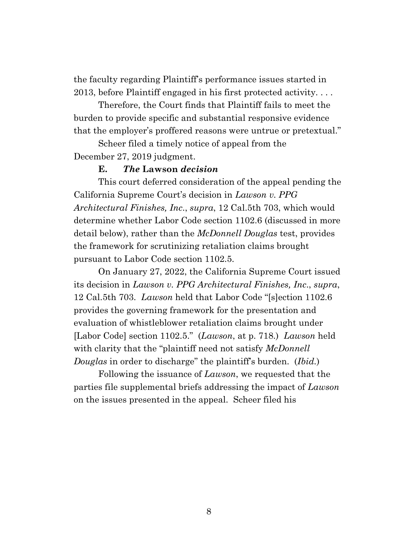the faculty regarding Plaintiff's performance issues started in 2013, before Plaintiff engaged in his first protected activity. . . .

Therefore, the Court finds that Plaintiff fails to meet the burden to provide specific and substantial responsive evidence that the employer's proffered reasons were untrue or pretextual."

Scheer filed a timely notice of appeal from the December 27, 2019 judgment.

#### **E.** *The* **Lawson** *decision*

This court deferred consideration of the appeal pending the California Supreme Court's decision in *Lawson v. PPG Architectural Finishes, Inc*., *supra*, 12 Cal.5th 703, which would determine whether Labor Code section 1102.6 (discussed in more detail below), rather than the *McDonnell Douglas* test, provides the framework for scrutinizing retaliation claims brought pursuant to Labor Code section 1102.5.

On January 27, 2022, the California Supreme Court issued its decision in *Lawson v. PPG Architectural Finishes, Inc*., *supra*, 12 Cal.5th 703. *Lawson* held that Labor Code "[s]ection 1102.6 provides the governing framework for the presentation and evaluation of whistleblower retaliation claims brought under [Labor Code] section 1102.5." (*Lawson*, at p. 718.) *Lawson* held with clarity that the "plaintiff need not satisfy *McDonnell Douglas* in order to discharge" the plaintiff's burden. (*Ibid.*)

Following the issuance of *Lawson*, we requested that the parties file supplemental briefs addressing the impact of *Lawson* on the issues presented in the appeal. Scheer filed his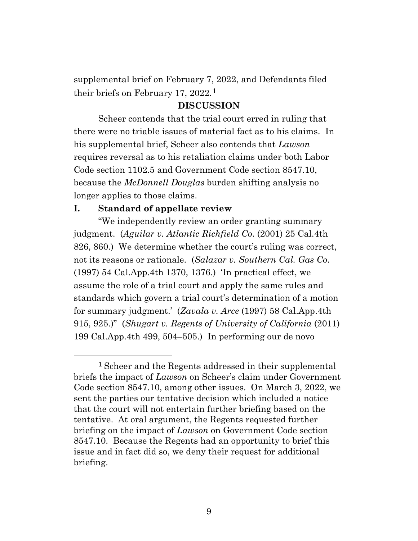supplemental brief on February 7, 2022, and Defendants filed their briefs on February 17, 2022.**[1](#page-8-0)**

#### **DISCUSSION**

Scheer contends that the trial court erred in ruling that there were no triable issues of material fact as to his claims. In his supplemental brief, Scheer also contends that *Lawson* requires reversal as to his retaliation claims under both Labor Code section 1102.5 and Government Code section 8547.10, because the *McDonnell Douglas* burden shifting analysis no longer applies to those claims.

#### **I. Standard of appellate review**

"We independently review an order granting summary judgment. (*Aguilar v. Atlantic Richfield Co*. (2001) 25 Cal.4th 826, 860.) We determine whether the court's ruling was correct, not its reasons or rationale. (*Salazar v. Southern Cal. Gas Co*. (1997) 54 Cal.App.4th 1370, 1376.) 'In practical effect, we assume the role of a trial court and apply the same rules and standards which govern a trial court's determination of a motion for summary judgment.' (*Zavala v. Arce* (1997) 58 Cal.App.4th 915, 925.)" (*Shugart v. Regents of University of California* (2011) 199 Cal.App.4th 499, 504–505.) In performing our de novo

<span id="page-8-0"></span>**<sup>1</sup>** Scheer and the Regents addressed in their supplemental briefs the impact of *Lawson* on Scheer's claim under Government Code section 8547.10, among other issues. On March 3, 2022, we sent the parties our tentative decision which included a notice that the court will not entertain further briefing based on the tentative. At oral argument, the Regents requested further briefing on the impact of *Lawson* on Government Code section 8547.10. Because the Regents had an opportunity to brief this issue and in fact did so, we deny their request for additional briefing.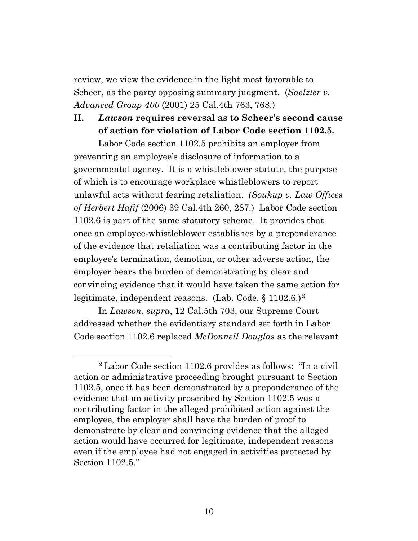review, we view the evidence in the light most favorable to Scheer, as the party opposing summary judgment. (*Saelzler v. Advanced Group 400* (2001) 25 Cal.4th 763, 768.)

## **II.** *Lawson* **requires reversal as to Scheer's second cause of action for violation of Labor Code section 1102.5.**

Labor Code section 1102.5 prohibits an employer from preventing an employee's disclosure of information to a governmental agency. It is a whistleblower statute, the purpose of which is to encourage workplace whistleblowers to report unlawful acts without fearing retaliation. *(Soukup v. Law Offices of Herbert Hafif* (2006) 39 Cal.4th 260, 287.) Labor Code section 1102.6 is part of the same statutory scheme. It provides that once an employee-whistleblower establishes by a preponderance of the evidence that retaliation was a contributing factor in the employee's termination, demotion, or other adverse action, the employer bears the burden of demonstrating by clear and convincing evidence that it would have taken the same action for legitimate, independent reasons. (Lab. Code, § 1102.6.)**[2](#page-9-0)**

In *Lawson*, *supra*, 12 Cal.5th 703, our Supreme Court addressed whether the evidentiary standard set forth in Labor Code section 1102.6 replaced *McDonnell Douglas* as the relevant

<span id="page-9-0"></span>**<sup>2</sup>** Labor Code section 1102.6 provides as follows: "In a civil action or administrative proceeding brought pursuant to Section 1102.5, once it has been demonstrated by a preponderance of the evidence that an activity proscribed by Section 1102.5 was a contributing factor in the alleged prohibited action against the employee*,* the employer shall have the burden of proof to demonstrate by clear and convincing evidence that the alleged action would have occurred for legitimate, independent reasons even if the employee had not engaged in activities protected by Section 1102.5."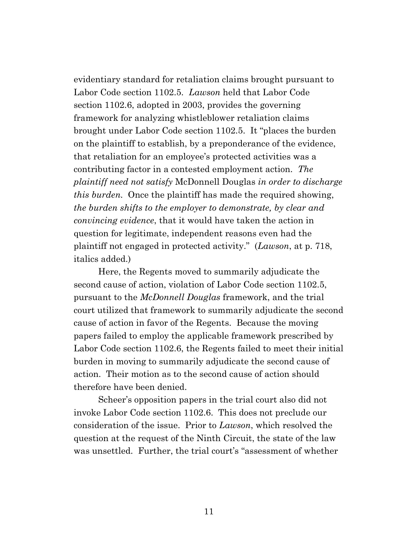evidentiary standard for retaliation claims brought pursuant to Labor Code section 1102.5. *Lawson* held that Labor Code section 1102.6, adopted in 2003, provides the governing framework for analyzing whistleblower retaliation claims brought under Labor Code section 1102.5. It "places the burden on the plaintiff to establish, by a preponderance of the evidence, that retaliation for an employee's protected activities was a contributing factor in a contested employment action. *The plaintiff need not satisfy* McDonnell Douglas *in order to discharge this burden.* Once the plaintiff has made the required showing, *the burden shifts to the employer to demonstrate, by clear and convincing evidence*, that it would have taken the action in question for legitimate, independent reasons even had the plaintiff not engaged in protected activity." (*Lawson*, at p. 718, italics added.)

Here, the Regents moved to summarily adjudicate the second cause of action, violation of Labor Code section 1102.5, pursuant to the *McDonnell Douglas* framework, and the trial court utilized that framework to summarily adjudicate the second cause of action in favor of the Regents. Because the moving papers failed to employ the applicable framework prescribed by Labor Code section 1102.6, the Regents failed to meet their initial burden in moving to summarily adjudicate the second cause of action. Their motion as to the second cause of action should therefore have been denied.

Scheer's opposition papers in the trial court also did not invoke Labor Code section 1102.6. This does not preclude our consideration of the issue. Prior to *Lawson*, which resolved the question at the request of the Ninth Circuit, the state of the law was unsettled. Further, the trial court's "assessment of whether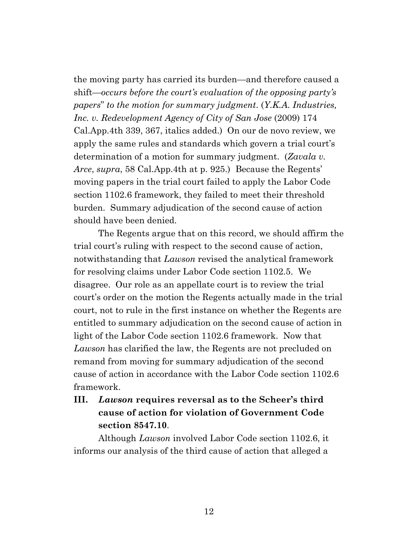the moving party has carried its burden—and therefore caused a shift—*occurs before the court's evaluation of the opposing party's papers*" *to the motion for summary judgment*. (*Y.K.A. Industries, Inc. v. Redevelopment Agency of City of San Jose* (2009) 174 Cal.App.4th 339, 367, italics added.) On our de novo review, we apply the same rules and standards which govern a trial court's determination of a motion for summary judgment. (*Zavala v. Arce*, *supra*, 58 Cal.App.4th at p. 925.) Because the Regents' moving papers in the trial court failed to apply the Labor Code section 1102.6 framework, they failed to meet their threshold burden. Summary adjudication of the second cause of action should have been denied.

The Regents argue that on this record, we should affirm the trial court's ruling with respect to the second cause of action, notwithstanding that *Lawson* revised the analytical framework for resolving claims under Labor Code section 1102.5. We disagree. Our role as an appellate court is to review the trial court's order on the motion the Regents actually made in the trial court, not to rule in the first instance on whether the Regents are entitled to summary adjudication on the second cause of action in light of the Labor Code section 1102.6 framework. Now that *Lawson* has clarified the law, the Regents are not precluded on remand from moving for summary adjudication of the second cause of action in accordance with the Labor Code section 1102.6 framework.

# **III.** *Lawson* **requires reversal as to the Scheer's third cause of action for violation of Government Code section 8547.10**.

Although *Lawson* involved Labor Code section 1102.6, it informs our analysis of the third cause of action that alleged a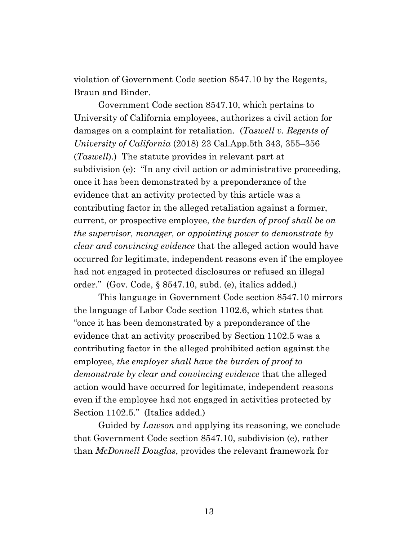violation of Government Code section 8547.10 by the Regents, Braun and Binder.

Government Code section 8547.10, which pertains to University of California employees, authorizes a civil action for damages on a complaint for retaliation. (*Taswell v. Regents of University of California* (2018) 23 Cal.App.5th 343, 355–356 (*Taswell*).) The statute provides in relevant part at subdivision (e): "In any civil action or administrative proceeding, once it has been demonstrated by a preponderance of the evidence that an activity protected by this article was a contributing factor in the alleged retaliation against a former, current, or prospective employee, *the burden of proof shall be on the supervisor, manager, or appointing power to demonstrate by clear and convincing evidence* that the alleged action would have occurred for legitimate, independent reasons even if the employee had not engaged in protected disclosures or refused an illegal order." (Gov. Code, § 8547.10, subd. (e), italics added.)

This language in Government Code section 8547.10 mirrors the language of Labor Code section 1102.6, which states that "once it has been demonstrated by a preponderance of the evidence that an activity proscribed by Section 1102.5 was a contributing factor in the alleged prohibited action against the employee*, the employer shall have the burden of proof to demonstrate by clear and convincing evidence* that the alleged action would have occurred for legitimate, independent reasons even if the employee had not engaged in activities protected by Section 1102.5." (Italics added.)

Guided by *Lawson* and applying its reasoning, we conclude that Government Code section 8547.10, subdivision (e), rather than *McDonnell Douglas*, provides the relevant framework for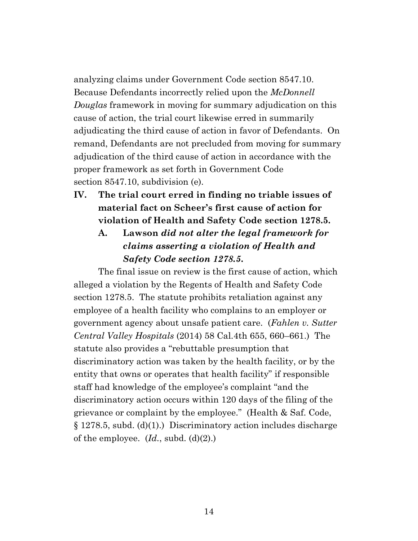analyzing claims under Government Code section 8547.10. Because Defendants incorrectly relied upon the *McDonnell Douglas* framework in moving for summary adjudication on this cause of action, the trial court likewise erred in summarily adjudicating the third cause of action in favor of Defendants. On remand, Defendants are not precluded from moving for summary adjudication of the third cause of action in accordance with the proper framework as set forth in Government Code section 8547.10, subdivision (e).

**IV. The trial court erred in finding no triable issues of material fact on Scheer's first cause of action for violation of Health and Safety Code section 1278.5.**

**A. Lawson** *did not alter the legal framework for claims asserting a violation of Health and Safety Code section 1278.5***.**

The final issue on review is the first cause of action, which alleged a violation by the Regents of Health and Safety Code section 1278.5. The statute prohibits retaliation against any employee of a health facility who complains to an employer or government agency about unsafe patient care. (*Fahlen v. Sutter Central Valley Hospitals* (2014) 58 Cal.4th 655, 660–661.) The statute also provides a "rebuttable presumption that discriminatory action was taken by the health facility, or by the entity that owns or operates that health facility" if responsible staff had knowledge of the employee's complaint "and the discriminatory action occurs within 120 days of the filing of the grievance or complaint by the employee." (Health & Saf. Code, § 1278.5, subd. (d)(1).) Discriminatory action includes discharge of the employee. (*Id.*, subd. (d)(2).)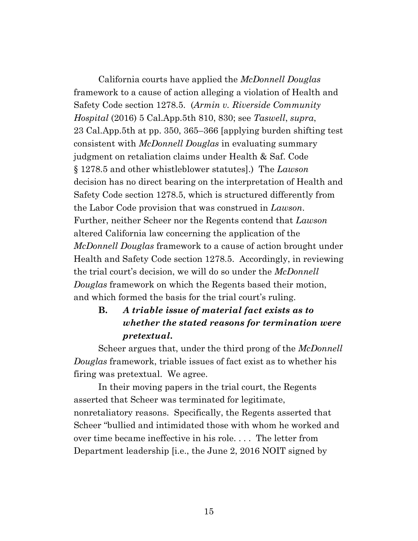California courts have applied the *McDonnell Douglas*  framework to a cause of action alleging a violation of Health and Safety Code section 1278.5. (*Armin v. Riverside Community Hospital* (2016) 5 Cal.App.5th 810, 830; see *Taswell*, *supra*, 23 Cal.App.5th at pp. 350, 365–366 [applying burden shifting test consistent with *McDonnell Douglas* in evaluating summary judgment on retaliation claims under Health & Saf. Code § 1278.5 and other whistleblower statutes].) The *Lawson* decision has no direct bearing on the interpretation of Health and Safety Code section 1278.5, which is structured differently from the Labor Code provision that was construed in *Lawson*. Further, neither Scheer nor the Regents contend that *Lawson* altered California law concerning the application of the *McDonnell Douglas* framework to a cause of action brought under Health and Safety Code section 1278.5. Accordingly, in reviewing the trial court's decision, we will do so under the *McDonnell Douglas* framework on which the Regents based their motion, and which formed the basis for the trial court's ruling.

# **B.** *A triable issue of material fact exists as to whether the stated reasons for termination were pretextual***.**

Scheer argues that, under the third prong of the *McDonnell Douglas* framework, triable issues of fact exist as to whether his firing was pretextual. We agree.

In their moving papers in the trial court, the Regents asserted that Scheer was terminated for legitimate, nonretaliatory reasons. Specifically, the Regents asserted that Scheer "bullied and intimidated those with whom he worked and over time became ineffective in his role. . . . The letter from Department leadership [i.e., the June 2, 2016 NOIT signed by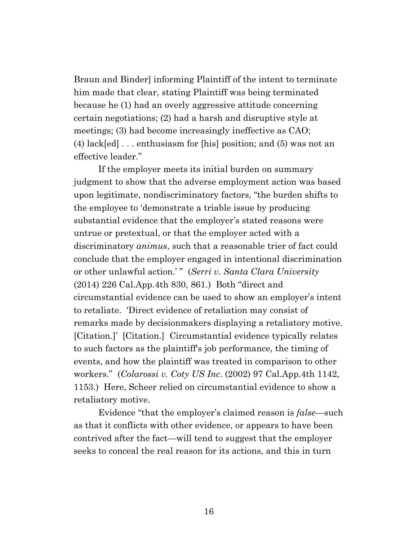Braun and Binder] informing Plaintiff of the intent to terminate him made that clear, stating Plaintiff was being terminated because he (1) had an overly aggressive attitude concerning certain negotiations; (2) had a harsh and disruptive style at meetings; (3) had become increasingly ineffective as CAO; (4)  $lack[ed] \ldots$  enthusiasm for [his] position; and (5) was not an effective leader."

If the employer meets its initial burden on summary judgment to show that the adverse employment action was based upon legitimate, nondiscriminatory factors, "the burden shifts to the employee to 'demonstrate a triable issue by producing substantial evidence that the employer's stated reasons were untrue or pretextual, or that the employer acted with a discriminatory *animus*, such that a reasonable trier of fact could conclude that the employer engaged in intentional discrimination or other unlawful action.'" (*Serri v. Santa Clara University* (2014) 226 Cal.App.4th 830, 861.) Both "direct and circumstantial evidence can be used to show an employer's intent to retaliate. 'Direct evidence of retaliation may consist of remarks made by decisionmakers displaying a retaliatory motive. [Citation.]' [Citation.] Circumstantial evidence typically relates to such factors as the plaintiff's job performance, the timing of events, and how the plaintiff was treated in comparison to other workers." (*Colarossi v. Coty US Inc*. (2002) 97 Cal.App.4th 1142, 1153.) Here, Scheer relied on circumstantial evidence to show a retaliatory motive.

Evidence "that the employer's claimed reason is *false*—such as that it conflicts with other evidence, or appears to have been contrived after the fact—will tend to suggest that the employer seeks to conceal the real reason for its actions, and this in turn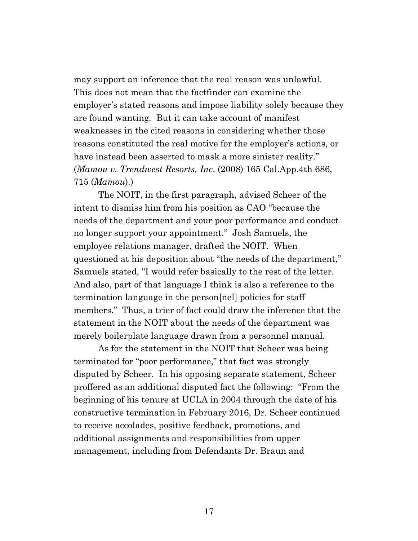may support an inference that the real reason was unlawful. This does not mean that the factfinder can examine the employer's stated reasons and impose liability solely because they are found wanting. But it can take account of manifest weaknesses in the cited reasons in considering whether those reasons constituted the real motive for the employer's actions, or have instead been asserted to mask a more sinister reality." (*Mamou v. Trendwest Resorts, Inc*. (2008) 165 Cal.App.4th 686, 715 (*Mamou*).)

The NOIT, in the first paragraph, advised Scheer of the intent to dismiss him from his position as CAO "because the needs of the department and your poor performance and conduct no longer support your appointment." Josh Samuels, the employee relations manager, drafted the NOIT. When questioned at his deposition about "the needs of the department," Samuels stated, "I would refer basically to the rest of the letter. And also, part of that language I think is also a reference to the termination language in the person[nel] policies for staff members." Thus, a trier of fact could draw the inference that the statement in the NOIT about the needs of the department was merely boilerplate language drawn from a personnel manual.

As for the statement in the NOIT that Scheer was being terminated for "poor performance," that fact was strongly disputed by Scheer. In his opposing separate statement, Scheer proffered as an additional disputed fact the following: "From the beginning of his tenure at UCLA in 2004 through the date of his constructive termination in February 2016, Dr. Scheer continued to receive accolades, positive feedback, promotions, and additional assignments and responsibilities from upper management, including from Defendants Dr. Braun and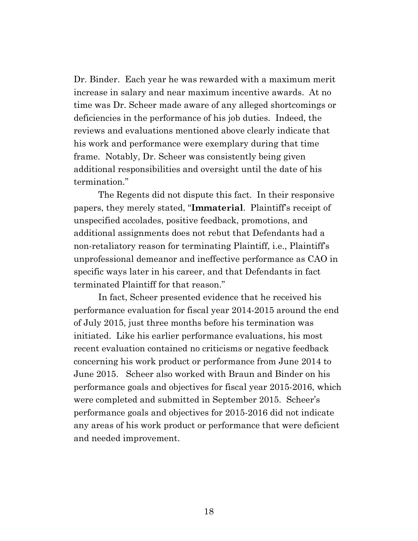Dr. Binder. Each year he was rewarded with a maximum merit increase in salary and near maximum incentive awards. At no time was Dr. Scheer made aware of any alleged shortcomings or deficiencies in the performance of his job duties. Indeed, the reviews and evaluations mentioned above clearly indicate that his work and performance were exemplary during that time frame. Notably, Dr. Scheer was consistently being given additional responsibilities and oversight until the date of his termination."

The Regents did not dispute this fact. In their responsive papers, they merely stated, "**Immaterial**. Plaintiff's receipt of unspecified accolades, positive feedback, promotions, and additional assignments does not rebut that Defendants had a non-retaliatory reason for terminating Plaintiff, i.e., Plaintiff's unprofessional demeanor and ineffective performance as CAO in specific ways later in his career, and that Defendants in fact terminated Plaintiff for that reason."

In fact, Scheer presented evidence that he received his performance evaluation for fiscal year 2014-2015 around the end of July 2015, just three months before his termination was initiated. Like his earlier performance evaluations, his most recent evaluation contained no criticisms or negative feedback concerning his work product or performance from June 2014 to June 2015. Scheer also worked with Braun and Binder on his performance goals and objectives for fiscal year 2015-2016, which were completed and submitted in September 2015. Scheer's performance goals and objectives for 2015-2016 did not indicate any areas of his work product or performance that were deficient and needed improvement.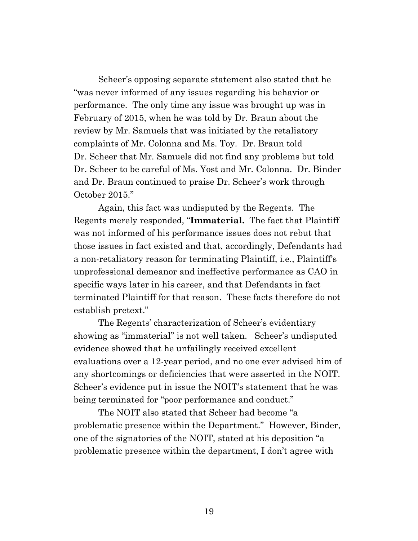Scheer's opposing separate statement also stated that he "was never informed of any issues regarding his behavior or performance. The only time any issue was brought up was in February of 2015, when he was told by Dr. Braun about the review by Mr. Samuels that was initiated by the retaliatory complaints of Mr. Colonna and Ms. Toy. Dr. Braun told Dr. Scheer that Mr. Samuels did not find any problems but told Dr. Scheer to be careful of Ms. Yost and Mr. Colonna. Dr. Binder and Dr. Braun continued to praise Dr. Scheer's work through October 2015."

Again, this fact was undisputed by the Regents. The Regents merely responded, "**Immaterial.** The fact that Plaintiff was not informed of his performance issues does not rebut that those issues in fact existed and that, accordingly, Defendants had a non-retaliatory reason for terminating Plaintiff, i.e., Plaintiff's unprofessional demeanor and ineffective performance as CAO in specific ways later in his career, and that Defendants in fact terminated Plaintiff for that reason. These facts therefore do not establish pretext."

The Regents' characterization of Scheer's evidentiary showing as "immaterial" is not well taken. Scheer's undisputed evidence showed that he unfailingly received excellent evaluations over a 12-year period, and no one ever advised him of any shortcomings or deficiencies that were asserted in the NOIT. Scheer's evidence put in issue the NOIT's statement that he was being terminated for "poor performance and conduct."

The NOIT also stated that Scheer had become "a problematic presence within the Department." However, Binder, one of the signatories of the NOIT, stated at his deposition "a problematic presence within the department, I don't agree with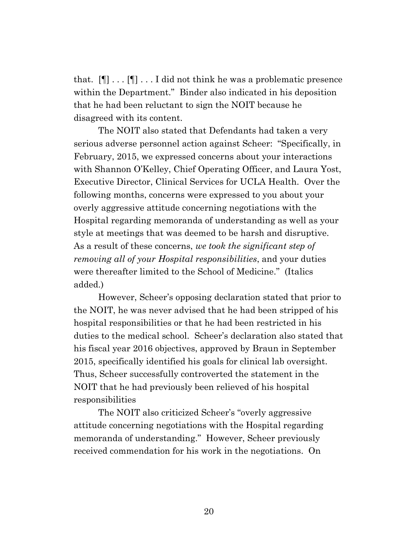that.  $[\P] \dots [\P] \dots I$  did not think he was a problematic presence within the Department." Binder also indicated in his deposition that he had been reluctant to sign the NOIT because he disagreed with its content.

The NOIT also stated that Defendants had taken a very serious adverse personnel action against Scheer: "Specifically, in February, 2015, we expressed concerns about your interactions with Shannon O'Kelley, Chief Operating Officer, and Laura Yost, Executive Director, Clinical Services for UCLA Health. Over the following months, concerns were expressed to you about your overly aggressive attitude concerning negotiations with the Hospital regarding memoranda of understanding as well as your style at meetings that was deemed to be harsh and disruptive. As a result of these concerns, *we took the significant step of removing all of your Hospital responsibilities*, and your duties were thereafter limited to the School of Medicine." (Italics added.)

However, Scheer's opposing declaration stated that prior to the NOIT, he was never advised that he had been stripped of his hospital responsibilities or that he had been restricted in his duties to the medical school. Scheer's declaration also stated that his fiscal year 2016 objectives, approved by Braun in September 2015, specifically identified his goals for clinical lab oversight. Thus, Scheer successfully controverted the statement in the NOIT that he had previously been relieved of his hospital responsibilities

The NOIT also criticized Scheer's "overly aggressive attitude concerning negotiations with the Hospital regarding memoranda of understanding." However, Scheer previously received commendation for his work in the negotiations. On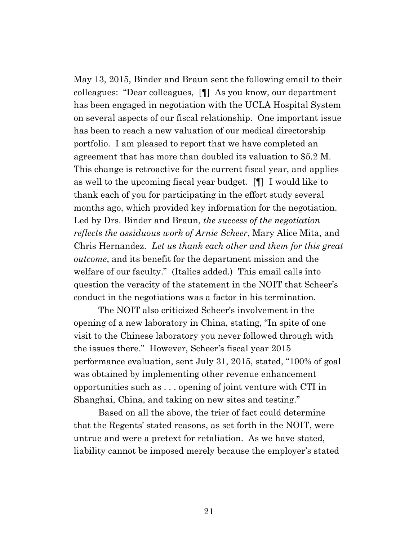May 13, 2015, Binder and Braun sent the following email to their colleagues: "Dear colleagues, [¶] As you know, our department has been engaged in negotiation with the UCLA Hospital System on several aspects of our fiscal relationship. One important issue has been to reach a new valuation of our medical directorship portfolio. I am pleased to report that we have completed an agreement that has more than doubled its valuation to \$5.2 M. This change is retroactive for the current fiscal year, and applies as well to the upcoming fiscal year budget. [¶] I would like to thank each of you for participating in the effort study several months ago, which provided key information for the negotiation. Led by Drs. Binder and Braun, *the success of the negotiation reflects the assiduous work of Arnie Scheer*, Mary Alice Mita, and Chris Hernandez. *Let us thank each other and them for this great outcome*, and its benefit for the department mission and the welfare of our faculty." (Italics added.) This email calls into question the veracity of the statement in the NOIT that Scheer's conduct in the negotiations was a factor in his termination.

The NOIT also criticized Scheer's involvement in the opening of a new laboratory in China, stating, "In spite of one visit to the Chinese laboratory you never followed through with the issues there." However, Scheer's fiscal year 2015 performance evaluation, sent July 31, 2015, stated, "100% of goal was obtained by implementing other revenue enhancement opportunities such as . . . opening of joint venture with CTI in Shanghai, China, and taking on new sites and testing."

Based on all the above, the trier of fact could determine that the Regents' stated reasons, as set forth in the NOIT, were untrue and were a pretext for retaliation. As we have stated, liability cannot be imposed merely because the employer's stated

21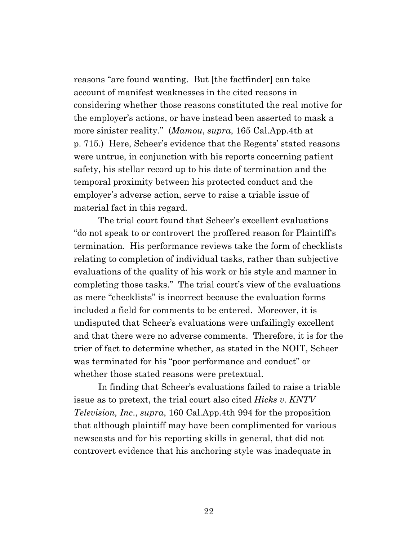reasons "are found wanting. But [the factfinder] can take account of manifest weaknesses in the cited reasons in considering whether those reasons constituted the real motive for the employer's actions, or have instead been asserted to mask a more sinister reality." (*Mamou*, *supra*, 165 Cal.App.4th at p. 715.) Here, Scheer's evidence that the Regents' stated reasons were untrue, in conjunction with his reports concerning patient safety, his stellar record up to his date of termination and the temporal proximity between his protected conduct and the employer's adverse action, serve to raise a triable issue of material fact in this regard.

The trial court found that Scheer's excellent evaluations "do not speak to or controvert the proffered reason for Plaintiff's termination. His performance reviews take the form of checklists relating to completion of individual tasks, rather than subjective evaluations of the quality of his work or his style and manner in completing those tasks." The trial court's view of the evaluations as mere "checklists" is incorrect because the evaluation forms included a field for comments to be entered. Moreover, it is undisputed that Scheer's evaluations were unfailingly excellent and that there were no adverse comments. Therefore, it is for the trier of fact to determine whether, as stated in the NOIT, Scheer was terminated for his "poor performance and conduct" or whether those stated reasons were pretextual.

In finding that Scheer's evaluations failed to raise a triable issue as to pretext, the trial court also cited *Hicks v. KNTV Television, Inc*., *supra*, 160 Cal.App.4th 994 for the proposition that although plaintiff may have been complimented for various newscasts and for his reporting skills in general, that did not controvert evidence that his anchoring style was inadequate in